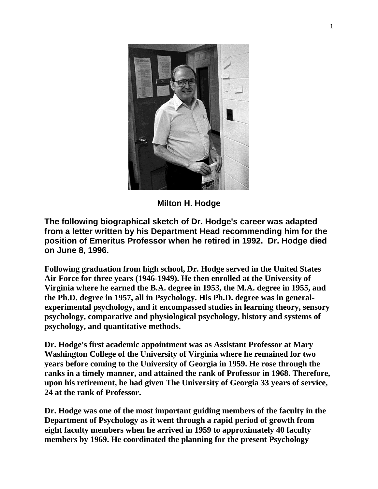

**Milton H. Hodge**

**The following biographical sketch of Dr. Hodge's career was adapted from a letter written by his Department Head recommending him for the position of Emeritus Professor when he retired in 1992. Dr. Hodge died on June 8, 1996.**

**Following graduation from high school, Dr. Hodge served in the United States Air Force for three years (1946-1949). He then enrolled at the University of Virginia where he earned the B.A. degree in 1953, the M.A. degree in 1955, and the Ph.D. degree in 1957, all in Psychology. His Ph.D. degree was in generalexperimental psychology, and it encompassed studies in learning theory, sensory psychology, comparative and physiological psychology, history and systems of psychology, and quantitative methods.**

**Dr. Hodge's first academic appointment was as Assistant Professor at Mary Washington College of the University of Virginia where he remained for two years before coming to the University of Georgia in 1959. He rose through the ranks in a timely manner, and attained the rank of Professor in 1968. Therefore, upon his retirement, he had given The University of Georgia 33 years of service, 24 at the rank of Professor.**

**Dr. Hodge was one of the most important guiding members of the faculty in the Department of Psychology as it went through a rapid period of growth from eight faculty members when he arrived in 1959 to approximately 40 faculty members by 1969. He coordinated the planning for the present Psychology**